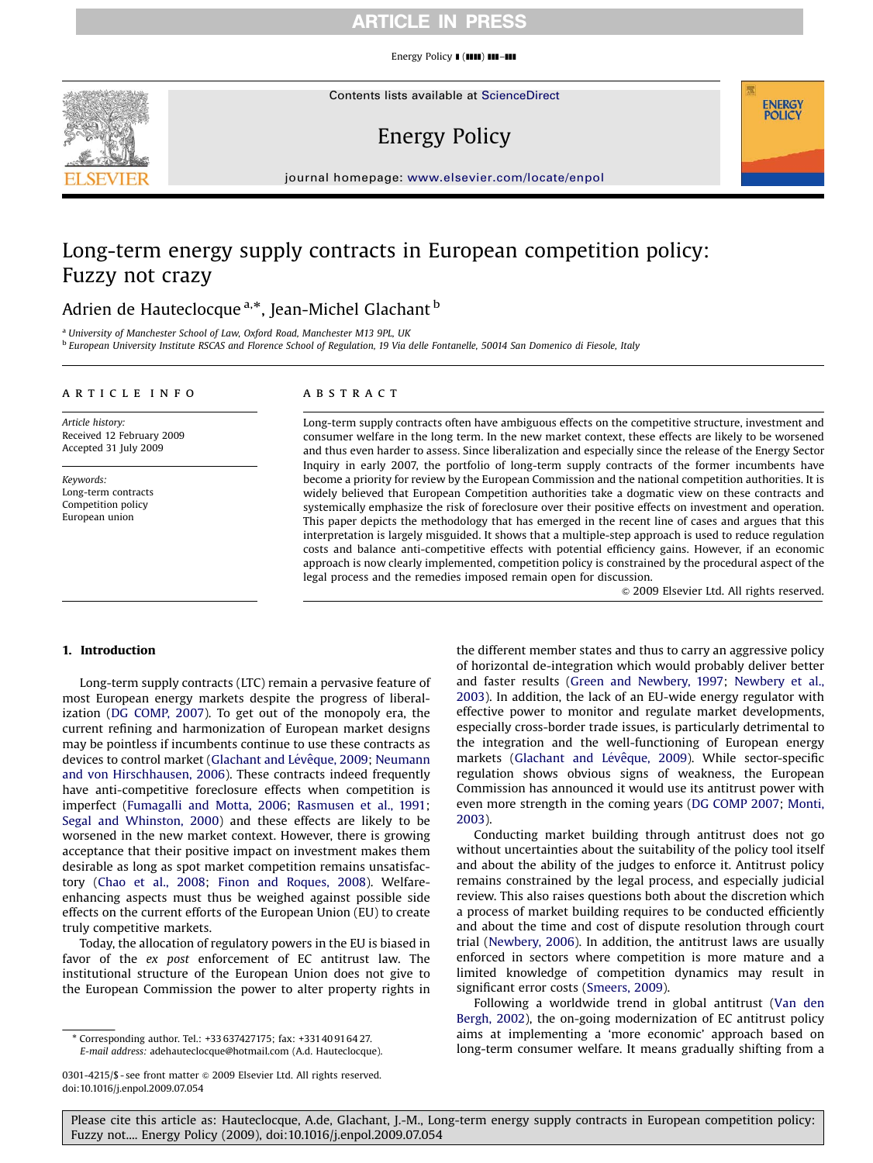### ARTICLE IN PRESS

Energy Policy  $\blacksquare$  ( $\blacksquare\blacksquare$ )  $\blacksquare\blacksquare\blacksquare\blacksquare$ 



Contents lists available at ScienceDirect

## Energy Policy



journal homepage: <www.elsevier.com/locate/enpol>

# Long-term energy supply contracts in European competition policy: Fuzzy not crazy

## Adrien de Hauteclocque <sup>a,</sup>\*, Jean-Michel Glachant <sup>b</sup>

<sup>a</sup> University of Manchester School of Law, Oxford Road, Manchester M13 9PL, UK

<sup>b</sup> European University Institute RSCAS and Florence School of Regulation, 19 Via delle Fontanelle, 50014 San Domenico di Fiesole, Italy

#### article info

Article history: Received 12 February 2009 Accepted 31 July 2009

Keywords: Long-term contracts Competition policy European union

#### **ABSTRACT**

Long-term supply contracts often have ambiguous effects on the competitive structure, investment and consumer welfare in the long term. In the new market context, these effects are likely to be worsened and thus even harder to assess. Since liberalization and especially since the release of the Energy Sector Inquiry in early 2007, the portfolio of long-term supply contracts of the former incumbents have become a priority for review by the European Commission and the national competition authorities. It is widely believed that European Competition authorities take a dogmatic view on these contracts and systemically emphasize the risk of foreclosure over their positive effects on investment and operation. This paper depicts the methodology that has emerged in the recent line of cases and argues that this interpretation is largely misguided. It shows that a multiple-step approach is used to reduce regulation costs and balance anti-competitive effects with potential efficiency gains. However, if an economic approach is now clearly implemented, competition policy is constrained by the procedural aspect of the legal process and the remedies imposed remain open for discussion.

 $\circ$  2009 Elsevier Ltd. All rights reserved.

#### 1. Introduction

Long-term supply contracts (LTC) remain a pervasive feature of most European energy markets despite the progress of liberalization ([DG COMP, 2007](#page-7-0)). To get out of the monopoly era, the current refining and harmonization of European market designs may be pointless if incumbents continue to use these contracts as devices to control market (Glachant and Lévê[que, 2009](#page-7-0); [Neumann](#page-8-0) [and von Hirschhausen, 2006\)](#page-8-0). These contracts indeed frequently have anti-competitive foreclosure effects when competition is imperfect ([Fumagalli and Motta, 2006;](#page-7-0) [Rasmusen et al., 1991;](#page-8-0) [Segal and Whinston, 2000](#page-8-0)) and these effects are likely to be worsened in the new market context. However, there is growing acceptance that their positive impact on investment makes them desirable as long as spot market competition remains unsatisfactory ([Chao et al., 2008](#page-7-0); [Finon and Roques, 2008\)](#page-7-0). Welfareenhancing aspects must thus be weighed against possible side effects on the current efforts of the European Union (EU) to create truly competitive markets.

Today, the allocation of regulatory powers in the EU is biased in favor of the ex post enforcement of EC antitrust law. The institutional structure of the European Union does not give to the European Commission the power to alter property rights in

the different member states and thus to carry an aggressive policy of horizontal de-integration which would probably deliver better and faster results [\(Green and Newbery, 1997;](#page-7-0) [Newbery et al.,](#page-8-0) [2003\)](#page-8-0). In addition, the lack of an EU-wide energy regulator with effective power to monitor and regulate market developments, especially cross-border trade issues, is particularly detrimental to the integration and the well-functioning of European energy markets (Glachant and Lévê[que, 2009](#page-7-0)). While sector-specific regulation shows obvious signs of weakness, the European Commission has announced it would use its antitrust power with even more strength in the coming years [\(DG COMP 2007;](#page-7-0) [Monti,](#page-8-0) [2003\)](#page-8-0).

Conducting market building through antitrust does not go without uncertainties about the suitability of the policy tool itself and about the ability of the judges to enforce it. Antitrust policy remains constrained by the legal process, and especially judicial review. This also raises questions both about the discretion which a process of market building requires to be conducted efficiently and about the time and cost of dispute resolution through court trial ([Newbery, 2006](#page-8-0)). In addition, the antitrust laws are usually enforced in sectors where competition is more mature and a limited knowledge of competition dynamics may result in significant error costs ([Smeers, 2009](#page-8-0)).

Following a worldwide trend in global antitrust ([Van den](#page-8-0) [Bergh, 2002](#page-8-0)), the on-going modernization of EC antitrust policy aims at implementing a 'more economic' approach based on long-term consumer welfare. It means gradually shifting from a

<sup>-</sup> Corresponding author. Tel.: +33 637427175; fax: +33140 9164 27. E-mail address: [adehauteclocque@hotmail.com \(A.d. Hauteclocque\).](mailto:adehauteclocque@hotmail.com)

<sup>0301-4215/\$ -</sup> see front matter @ 2009 Elsevier Ltd. All rights reserved. doi:[10.1016/j.enpol.2009.07.054](dx.doi.org/10.1016/j.enpol.2009.07.054)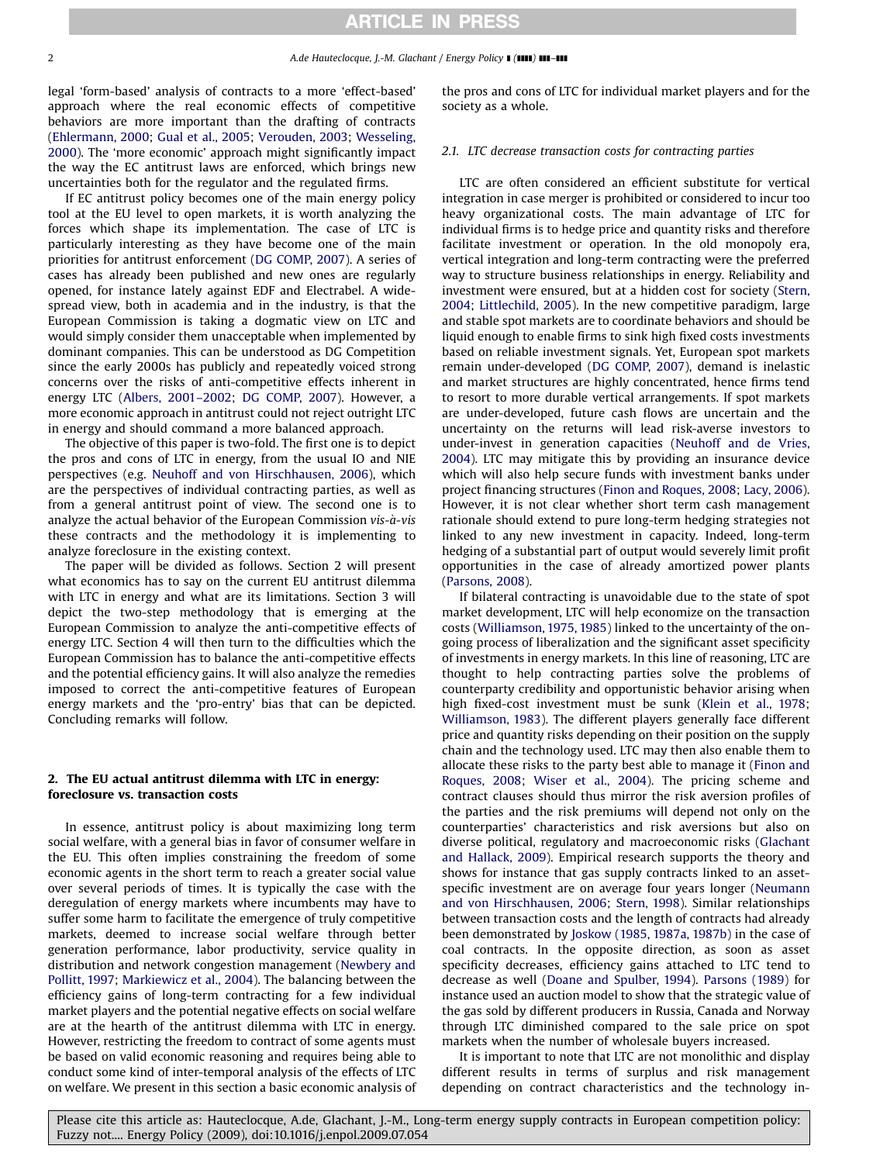### ARTICLE IN PRESS

legal 'form-based' analysis of contracts to a more 'effect-based' approach where the real economic effects of competitive behaviors are more important than the drafting of contracts ([Ehlermann, 2000;](#page-7-0) [Gual et al., 2005;](#page-8-0) [Verouden, 2003](#page-8-0); [Wesseling,](#page-8-0) [2000](#page-8-0)). The 'more economic' approach might significantly impact the way the EC antitrust laws are enforced, which brings new uncertainties both for the regulator and the regulated firms.

If EC antitrust policy becomes one of the main energy policy tool at the EU level to open markets, it is worth analyzing the forces which shape its implementation. The case of LTC is particularly interesting as they have become one of the main priorities for antitrust enforcement [\(DG COMP, 2007\)](#page-7-0). A series of cases has already been published and new ones are regularly opened, for instance lately against EDF and Electrabel. A widespread view, both in academia and in the industry, is that the European Commission is taking a dogmatic view on LTC and would simply consider them unacceptable when implemented by dominant companies. This can be understood as DG Competition since the early 2000s has publicly and repeatedly voiced strong concerns over the risks of anti-competitive effects inherent in energy LTC [\(Albers, 2001–2002](#page-7-0); [DG COMP, 2007\)](#page-7-0). However, a more economic approach in antitrust could not reject outright LTC in energy and should command a more balanced approach.

The objective of this paper is two-fold. The first one is to depict the pros and cons of LTC in energy, from the usual IO and NIE perspectives (e.g. [Neuhoff and von Hirschhausen, 2006](#page-8-0)), which are the perspectives of individual contracting parties, as well as from a general antitrust point of view. The second one is to analyze the actual behavior of the European Commission vis-à-vis these contracts and the methodology it is implementing to analyze foreclosure in the existing context.

The paper will be divided as follows. Section 2 will present what economics has to say on the current EU antitrust dilemma with LTC in energy and what are its limitations. Section 3 will depict the two-step methodology that is emerging at the European Commission to analyze the anti-competitive effects of energy LTC. Section 4 will then turn to the difficulties which the European Commission has to balance the anti-competitive effects and the potential efficiency gains. It will also analyze the remedies imposed to correct the anti-competitive features of European energy markets and the 'pro-entry' bias that can be depicted. Concluding remarks will follow.

### 2. The EU actual antitrust dilemma with LTC in energy: foreclosure vs. transaction costs

In essence, antitrust policy is about maximizing long term social welfare, with a general bias in favor of consumer welfare in the EU. This often implies constraining the freedom of some economic agents in the short term to reach a greater social value over several periods of times. It is typically the case with the deregulation of energy markets where incumbents may have to suffer some harm to facilitate the emergence of truly competitive markets, deemed to increase social welfare through better generation performance, labor productivity, service quality in distribution and network congestion management [\(Newbery and](#page-8-0) [Pollitt, 1997](#page-8-0); [Markiewicz et al., 2004\)](#page-8-0). The balancing between the efficiency gains of long-term contracting for a few individual market players and the potential negative effects on social welfare are at the hearth of the antitrust dilemma with LTC in energy. However, restricting the freedom to contract of some agents must be based on valid economic reasoning and requires being able to conduct some kind of inter-temporal analysis of the effects of LTC on welfare. We present in this section a basic economic analysis of the pros and cons of LTC for individual market players and for the society as a whole.

#### 2.1. LTC decrease transaction costs for contracting parties

LTC are often considered an efficient substitute for vertical integration in case merger is prohibited or considered to incur too heavy organizational costs. The main advantage of LTC for individual firms is to hedge price and quantity risks and therefore facilitate investment or operation. In the old monopoly era, vertical integration and long-term contracting were the preferred way to structure business relationships in energy. Reliability and investment were ensured, but at a hidden cost for society [\(Stern,](#page-8-0) [2004](#page-8-0); [Littlechild, 2005](#page-8-0)). In the new competitive paradigm, large and stable spot markets are to coordinate behaviors and should be liquid enough to enable firms to sink high fixed costs investments based on reliable investment signals. Yet, European spot markets remain under-developed [\(DG COMP, 2007](#page-7-0)), demand is inelastic and market structures are highly concentrated, hence firms tend to resort to more durable vertical arrangements. If spot markets are under-developed, future cash flows are uncertain and the uncertainty on the returns will lead risk-averse investors to under-invest in generation capacities [\(Neuhoff and de Vries,](#page-8-0) [2004](#page-8-0)). LTC may mitigate this by providing an insurance device which will also help secure funds with investment banks under project financing structures ([Finon and Roques, 2008;](#page-7-0) [Lacy, 2006\)](#page-8-0). However, it is not clear whether short term cash management rationale should extend to pure long-term hedging strategies not linked to any new investment in capacity. Indeed, long-term hedging of a substantial part of output would severely limit profit opportunities in the case of already amortized power plants ([Parsons, 2008](#page-8-0)).

If bilateral contracting is unavoidable due to the state of spot market development, LTC will help economize on the transaction costs [\(Williamson, 1975, 1985](#page-8-0)) linked to the uncertainty of the ongoing process of liberalization and the significant asset specificity of investments in energy markets. In this line of reasoning, LTC are thought to help contracting parties solve the problems of counterparty credibility and opportunistic behavior arising when high fixed-cost investment must be sunk [\(Klein et al., 1978;](#page-8-0) [Williamson, 1983](#page-8-0)). The different players generally face different price and quantity risks depending on their position on the supply chain and the technology used. LTC may then also enable them to allocate these risks to the party best able to manage it ([Finon and](#page-7-0) [Roques, 2008;](#page-7-0) [Wiser et al., 2004](#page-8-0)). The pricing scheme and contract clauses should thus mirror the risk aversion profiles of the parties and the risk premiums will depend not only on the counterparties' characteristics and risk aversions but also on diverse political, regulatory and macroeconomic risks ([Glachant](#page-7-0) [and Hallack, 2009\)](#page-7-0). Empirical research supports the theory and shows for instance that gas supply contracts linked to an assetspecific investment are on average four years longer [\(Neumann](#page-8-0) [and von Hirschhausen, 2006](#page-8-0); [Stern, 1998](#page-8-0)). Similar relationships between transaction costs and the length of contracts had already been demonstrated by [Joskow \(1985, 1987a, 1987b\)](#page-8-0) in the case of coal contracts. In the opposite direction, as soon as asset specificity decreases, efficiency gains attached to LTC tend to decrease as well [\(Doane and Spulber, 1994\)](#page-7-0). [Parsons \(1989\)](#page-8-0) for instance used an auction model to show that the strategic value of the gas sold by different producers in Russia, Canada and Norway through LTC diminished compared to the sale price on spot markets when the number of wholesale buyers increased.

It is important to note that LTC are not monolithic and display different results in terms of surplus and risk management depending on contract characteristics and the technology in-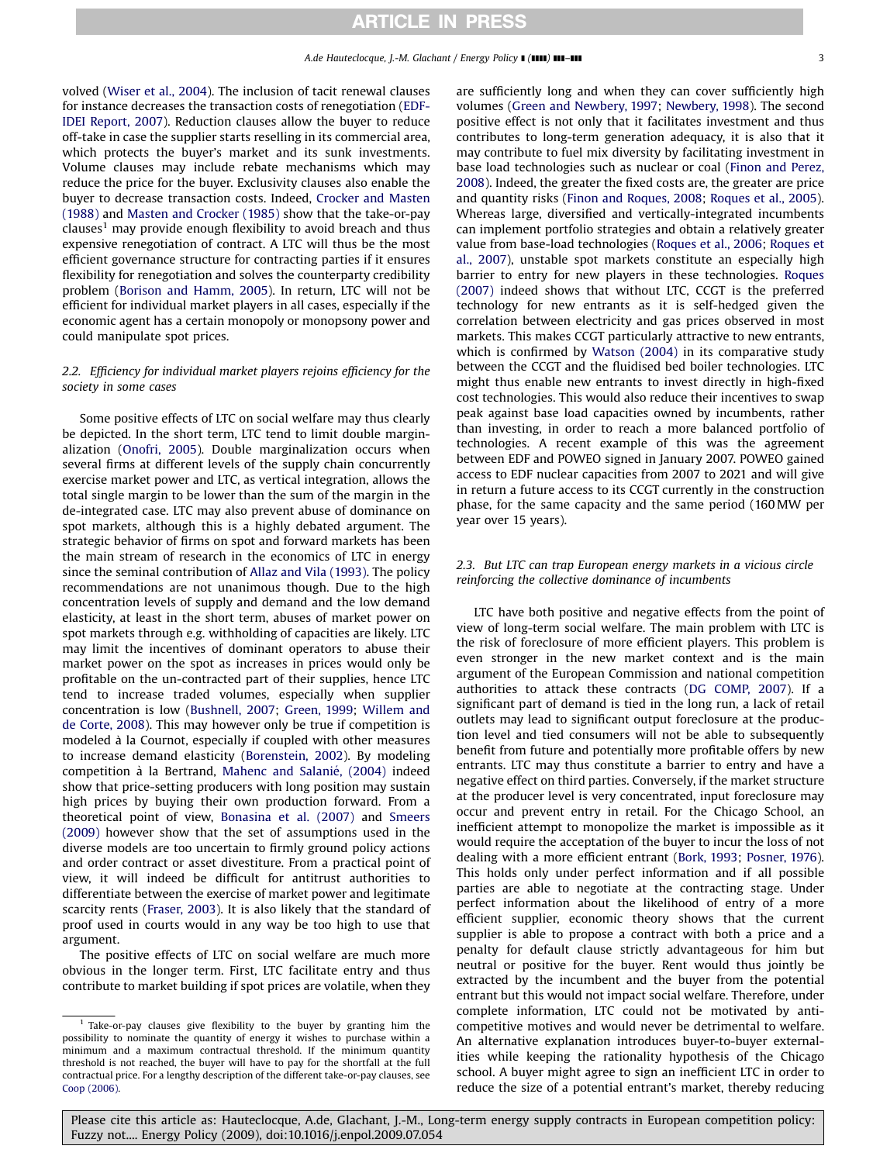volved [\(Wiser et al., 2004](#page-8-0)). The inclusion of tacit renewal clauses for instance decreases the transaction costs of renegotiation [\(EDF-](#page-7-0)[IDEI Report, 2007](#page-7-0)). Reduction clauses allow the buyer to reduce off-take in case the supplier starts reselling in its commercial area, which protects the buyer's market and its sunk investments. Volume clauses may include rebate mechanisms which may reduce the price for the buyer. Exclusivity clauses also enable the buyer to decrease transaction costs. Indeed, [Crocker and Masten](#page-7-0) [\(1988\)](#page-7-0) and [Masten and Crocker \(1985\)](#page-8-0) show that the take-or-pay clauses<sup>1</sup> may provide enough flexibility to avoid breach and thus expensive renegotiation of contract. A LTC will thus be the most efficient governance structure for contracting parties if it ensures flexibility for renegotiation and solves the counterparty credibility problem ([Borison and Hamm, 2005\)](#page-7-0). In return, LTC will not be efficient for individual market players in all cases, especially if the economic agent has a certain monopoly or monopsony power and could manipulate spot prices.

#### 2.2. Efficiency for individual market players rejoins efficiency for the society in some cases

Some positive effects of LTC on social welfare may thus clearly be depicted. In the short term, LTC tend to limit double marginalization ([Onofri, 2005](#page-8-0)). Double marginalization occurs when several firms at different levels of the supply chain concurrently exercise market power and LTC, as vertical integration, allows the total single margin to be lower than the sum of the margin in the de-integrated case. LTC may also prevent abuse of dominance on spot markets, although this is a highly debated argument. The strategic behavior of firms on spot and forward markets has been the main stream of research in the economics of LTC in energy since the seminal contribution of [Allaz and Vila \(1993\)](#page-7-0). The policy recommendations are not unanimous though. Due to the high concentration levels of supply and demand and the low demand elasticity, at least in the short term, abuses of market power on spot markets through e.g. withholding of capacities are likely. LTC may limit the incentives of dominant operators to abuse their market power on the spot as increases in prices would only be profitable on the un-contracted part of their supplies, hence LTC tend to increase traded volumes, especially when supplier concentration is low ([Bushnell, 2007;](#page-7-0) [Green, 1999;](#page-7-0) [Willem and](#page-8-0) [de Corte, 2008\)](#page-8-0). This may however only be true if competition is modeled a la Cournot, especially if coupled with other measures to increase demand elasticity ([Borenstein, 2002](#page-7-0)). By modeling competition à la Bertrand, Mahenc and Salanié, (2004) indeed show that price-setting producers with long position may sustain high prices by buying their own production forward. From a theoretical point of view, [Bonasina et al. \(2007\)](#page-7-0) and [Smeers](#page-8-0) [\(2009\)](#page-8-0) however show that the set of assumptions used in the diverse models are too uncertain to firmly ground policy actions and order contract or asset divestiture. From a practical point of view, it will indeed be difficult for antitrust authorities to differentiate between the exercise of market power and legitimate scarcity rents ([Fraser, 2003](#page-7-0)). It is also likely that the standard of proof used in courts would in any way be too high to use that argument.

The positive effects of LTC on social welfare are much more obvious in the longer term. First, LTC facilitate entry and thus contribute to market building if spot prices are volatile, when they are sufficiently long and when they can cover sufficiently high volumes ([Green and Newbery, 1997;](#page-7-0) [Newbery, 1998](#page-8-0)). The second positive effect is not only that it facilitates investment and thus contributes to long-term generation adequacy, it is also that it may contribute to fuel mix diversity by facilitating investment in base load technologies such as nuclear or coal [\(Finon and Perez,](#page-7-0) [2008\)](#page-7-0). Indeed, the greater the fixed costs are, the greater are price and quantity risks [\(Finon and Roques, 2008](#page-7-0); [Roques et al., 2005\)](#page-8-0). Whereas large, diversified and vertically-integrated incumbents can implement portfolio strategies and obtain a relatively greater value from base-load technologies [\(Roques et al., 2006](#page-8-0); [Roques et](#page-8-0) [al., 2007\)](#page-8-0), unstable spot markets constitute an especially high barrier to entry for new players in these technologies. [Roques](#page-8-0) [\(2007\)](#page-8-0) indeed shows that without LTC, CCGT is the preferred technology for new entrants as it is self-hedged given the correlation between electricity and gas prices observed in most markets. This makes CCGT particularly attractive to new entrants, which is confirmed by [Watson \(2004\)](#page-8-0) in its comparative study between the CCGT and the fluidised bed boiler technologies. LTC might thus enable new entrants to invest directly in high-fixed cost technologies. This would also reduce their incentives to swap peak against base load capacities owned by incumbents, rather than investing, in order to reach a more balanced portfolio of technologies. A recent example of this was the agreement between EDF and POWEO signed in January 2007. POWEO gained access to EDF nuclear capacities from 2007 to 2021 and will give in return a future access to its CCGT currently in the construction phase, for the same capacity and the same period (160 MW per year over 15 years).

#### 2.3. But LTC can trap European energy markets in a vicious circle reinforcing the collective dominance of incumbents

LTC have both positive and negative effects from the point of view of long-term social welfare. The main problem with LTC is the risk of foreclosure of more efficient players. This problem is even stronger in the new market context and is the main argument of the European Commission and national competition authorities to attack these contracts [\(DG COMP, 2007\)](#page-7-0). If a significant part of demand is tied in the long run, a lack of retail outlets may lead to significant output foreclosure at the production level and tied consumers will not be able to subsequently benefit from future and potentially more profitable offers by new entrants. LTC may thus constitute a barrier to entry and have a negative effect on third parties. Conversely, if the market structure at the producer level is very concentrated, input foreclosure may occur and prevent entry in retail. For the Chicago School, an inefficient attempt to monopolize the market is impossible as it would require the acceptation of the buyer to incur the loss of not dealing with a more efficient entrant ([Bork, 1993](#page-7-0); [Posner, 1976\)](#page-8-0). This holds only under perfect information and if all possible parties are able to negotiate at the contracting stage. Under perfect information about the likelihood of entry of a more efficient supplier, economic theory shows that the current supplier is able to propose a contract with both a price and a penalty for default clause strictly advantageous for him but neutral or positive for the buyer. Rent would thus jointly be extracted by the incumbent and the buyer from the potential entrant but this would not impact social welfare. Therefore, under complete information, LTC could not be motivated by anticompetitive motives and would never be detrimental to welfare. An alternative explanation introduces buyer-to-buyer externalities while keeping the rationality hypothesis of the Chicago school. A buyer might agree to sign an inefficient LTC in order to reduce the size of a potential entrant's market, thereby reducing

Take-or-pay clauses give flexibility to the buyer by granting him the possibility to nominate the quantity of energy it wishes to purchase within a minimum and a maximum contractual threshold. If the minimum quantity threshold is not reached, the buyer will have to pay for the shortfall at the full contractual price. For a lengthy description of the different take-or-pay clauses, see [Coop \(2006\).](#page-7-0)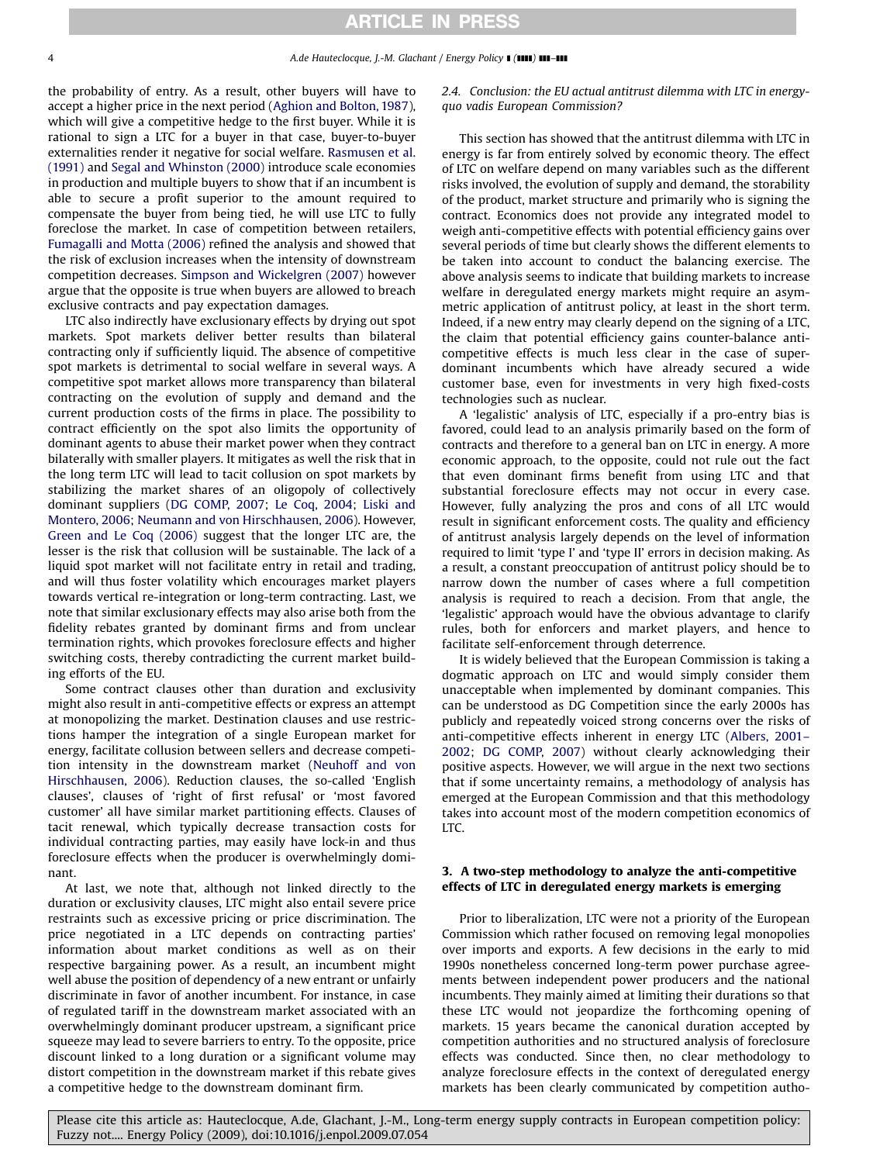ARTICLE IN PRESS

the probability of entry. As a result, other buyers will have to accept a higher price in the next period [\(Aghion and Bolton, 1987\)](#page-7-0), which will give a competitive hedge to the first buyer. While it is rational to sign a LTC for a buyer in that case, buyer-to-buyer externalities render it negative for social welfare. [Rasmusen et al.](#page-8-0) [\(1991\)](#page-8-0) and [Segal and Whinston \(2000\)](#page-8-0) introduce scale economies in production and multiple buyers to show that if an incumbent is able to secure a profit superior to the amount required to compensate the buyer from being tied, he will use LTC to fully foreclose the market. In case of competition between retailers, [Fumagalli and Motta \(2006\)](#page-7-0) refined the analysis and showed that the risk of exclusion increases when the intensity of downstream competition decreases. [Simpson and Wickelgren \(2007\)](#page-8-0) however argue that the opposite is true when buyers are allowed to breach exclusive contracts and pay expectation damages.

LTC also indirectly have exclusionary effects by drying out spot markets. Spot markets deliver better results than bilateral contracting only if sufficiently liquid. The absence of competitive spot markets is detrimental to social welfare in several ways. A competitive spot market allows more transparency than bilateral contracting on the evolution of supply and demand and the current production costs of the firms in place. The possibility to contract efficiently on the spot also limits the opportunity of dominant agents to abuse their market power when they contract bilaterally with smaller players. It mitigates as well the risk that in the long term LTC will lead to tacit collusion on spot markets by stabilizing the market shares of an oligopoly of collectively dominant suppliers [\(DG COMP, 2007;](#page-7-0) [Le Coq, 2004;](#page-8-0) [Liski and](#page-8-0) [Montero, 2006;](#page-8-0) [Neumann and von Hirschhausen, 2006](#page-8-0)). However, [Green and Le Coq \(2006\)](#page-7-0) suggest that the longer LTC are, the lesser is the risk that collusion will be sustainable. The lack of a liquid spot market will not facilitate entry in retail and trading, and will thus foster volatility which encourages market players towards vertical re-integration or long-term contracting. Last, we note that similar exclusionary effects may also arise both from the fidelity rebates granted by dominant firms and from unclear termination rights, which provokes foreclosure effects and higher switching costs, thereby contradicting the current market building efforts of the EU.

Some contract clauses other than duration and exclusivity might also result in anti-competitive effects or express an attempt at monopolizing the market. Destination clauses and use restrictions hamper the integration of a single European market for energy, facilitate collusion between sellers and decrease competition intensity in the downstream market ([Neuhoff and von](#page-8-0) [Hirschhausen, 2006\)](#page-8-0). Reduction clauses, the so-called 'English clauses', clauses of 'right of first refusal' or 'most favored customer' all have similar market partitioning effects. Clauses of tacit renewal, which typically decrease transaction costs for individual contracting parties, may easily have lock-in and thus foreclosure effects when the producer is overwhelmingly dominant.

At last, we note that, although not linked directly to the duration or exclusivity clauses, LTC might also entail severe price restraints such as excessive pricing or price discrimination. The price negotiated in a LTC depends on contracting parties' information about market conditions as well as on their respective bargaining power. As a result, an incumbent might well abuse the position of dependency of a new entrant or unfairly discriminate in favor of another incumbent. For instance, in case of regulated tariff in the downstream market associated with an overwhelmingly dominant producer upstream, a significant price squeeze may lead to severe barriers to entry. To the opposite, price discount linked to a long duration or a significant volume may distort competition in the downstream market if this rebate gives a competitive hedge to the downstream dominant firm.

2.4. Conclusion: the EU actual antitrust dilemma with LTC in energyquo vadis European Commission?

This section has showed that the antitrust dilemma with LTC in energy is far from entirely solved by economic theory. The effect of LTC on welfare depend on many variables such as the different risks involved, the evolution of supply and demand, the storability of the product, market structure and primarily who is signing the contract. Economics does not provide any integrated model to weigh anti-competitive effects with potential efficiency gains over several periods of time but clearly shows the different elements to be taken into account to conduct the balancing exercise. The above analysis seems to indicate that building markets to increase welfare in deregulated energy markets might require an asymmetric application of antitrust policy, at least in the short term. Indeed, if a new entry may clearly depend on the signing of a LTC, the claim that potential efficiency gains counter-balance anticompetitive effects is much less clear in the case of superdominant incumbents which have already secured a wide customer base, even for investments in very high fixed-costs technologies such as nuclear.

A 'legalistic' analysis of LTC, especially if a pro-entry bias is favored, could lead to an analysis primarily based on the form of contracts and therefore to a general ban on LTC in energy. A more economic approach, to the opposite, could not rule out the fact that even dominant firms benefit from using LTC and that substantial foreclosure effects may not occur in every case. However, fully analyzing the pros and cons of all LTC would result in significant enforcement costs. The quality and efficiency of antitrust analysis largely depends on the level of information required to limit 'type I' and 'type II' errors in decision making. As a result, a constant preoccupation of antitrust policy should be to narrow down the number of cases where a full competition analysis is required to reach a decision. From that angle, the 'legalistic' approach would have the obvious advantage to clarify rules, both for enforcers and market players, and hence to facilitate self-enforcement through deterrence.

It is widely believed that the European Commission is taking a dogmatic approach on LTC and would simply consider them unacceptable when implemented by dominant companies. This can be understood as DG Competition since the early 2000s has publicly and repeatedly voiced strong concerns over the risks of anti-competitive effects inherent in energy LTC ([Albers, 2001–](#page-7-0) [2002](#page-7-0); [DG COMP, 2007](#page-7-0)) without clearly acknowledging their positive aspects. However, we will argue in the next two sections that if some uncertainty remains, a methodology of analysis has emerged at the European Commission and that this methodology takes into account most of the modern competition economics of  $ITC$ 

#### 3. A two-step methodology to analyze the anti-competitive effects of LTC in deregulated energy markets is emerging

Prior to liberalization, LTC were not a priority of the European Commission which rather focused on removing legal monopolies over imports and exports. A few decisions in the early to mid 1990s nonetheless concerned long-term power purchase agreements between independent power producers and the national incumbents. They mainly aimed at limiting their durations so that these LTC would not jeopardize the forthcoming opening of markets. 15 years became the canonical duration accepted by competition authorities and no structured analysis of foreclosure effects was conducted. Since then, no clear methodology to analyze foreclosure effects in the context of deregulated energy markets has been clearly communicated by competition autho-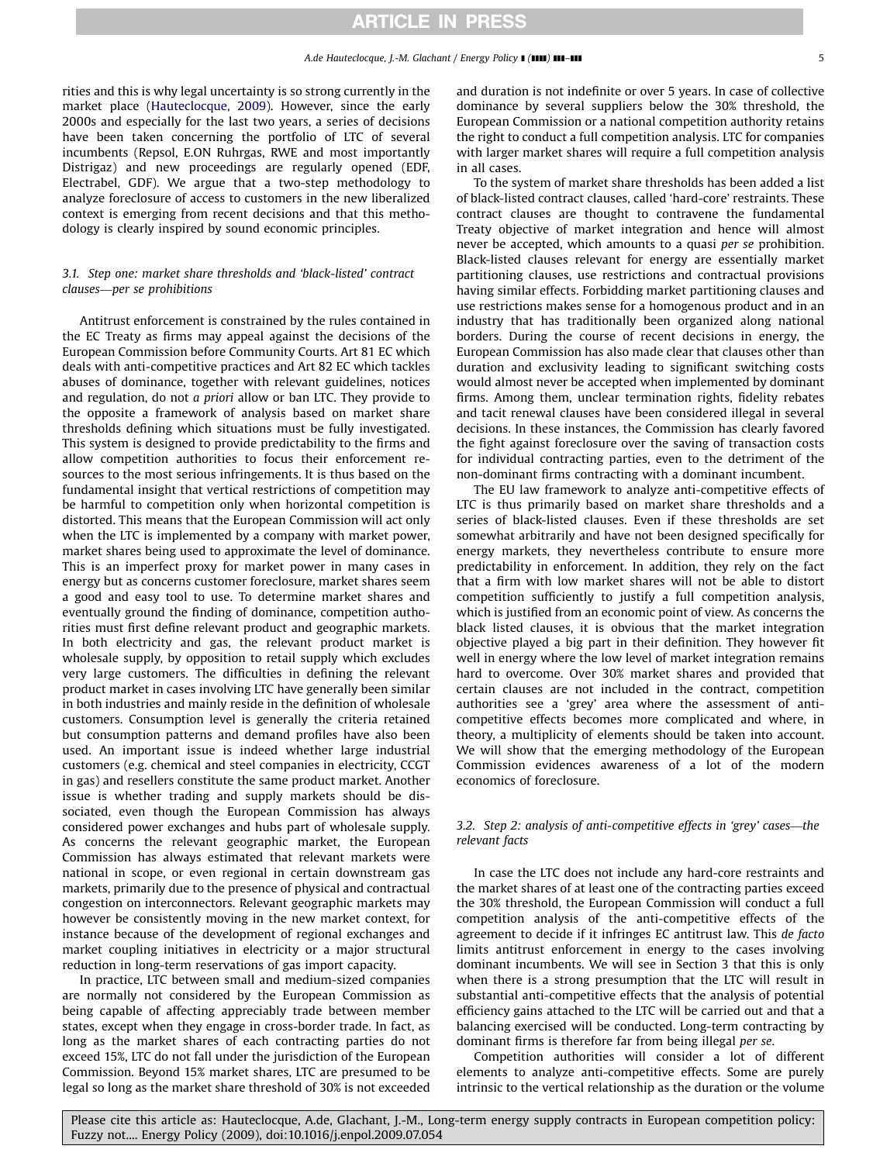rities and this is why legal uncertainty is so strong currently in the market place [\(Hauteclocque, 2009\)](#page-8-0). However, since the early 2000s and especially for the last two years, a series of decisions have been taken concerning the portfolio of LTC of several incumbents (Repsol, E.ON Ruhrgas, RWE and most importantly Distrigaz) and new proceedings are regularly opened (EDF, Electrabel, GDF). We argue that a two-step methodology to analyze foreclosure of access to customers in the new liberalized context is emerging from recent decisions and that this methodology is clearly inspired by sound economic principles.

#### 3.1. Step one: market share thresholds and 'black-listed' contract clauses—per se prohibitions

Antitrust enforcement is constrained by the rules contained in the EC Treaty as firms may appeal against the decisions of the European Commission before Community Courts. Art 81 EC which deals with anti-competitive practices and Art 82 EC which tackles abuses of dominance, together with relevant guidelines, notices and regulation, do not a priori allow or ban LTC. They provide to the opposite a framework of analysis based on market share thresholds defining which situations must be fully investigated. This system is designed to provide predictability to the firms and allow competition authorities to focus their enforcement resources to the most serious infringements. It is thus based on the fundamental insight that vertical restrictions of competition may be harmful to competition only when horizontal competition is distorted. This means that the European Commission will act only when the LTC is implemented by a company with market power, market shares being used to approximate the level of dominance. This is an imperfect proxy for market power in many cases in energy but as concerns customer foreclosure, market shares seem a good and easy tool to use. To determine market shares and eventually ground the finding of dominance, competition authorities must first define relevant product and geographic markets. In both electricity and gas, the relevant product market is wholesale supply, by opposition to retail supply which excludes very large customers. The difficulties in defining the relevant product market in cases involving LTC have generally been similar in both industries and mainly reside in the definition of wholesale customers. Consumption level is generally the criteria retained but consumption patterns and demand profiles have also been used. An important issue is indeed whether large industrial customers (e.g. chemical and steel companies in electricity, CCGT in gas) and resellers constitute the same product market. Another issue is whether trading and supply markets should be dissociated, even though the European Commission has always considered power exchanges and hubs part of wholesale supply. As concerns the relevant geographic market, the European Commission has always estimated that relevant markets were national in scope, or even regional in certain downstream gas markets, primarily due to the presence of physical and contractual congestion on interconnectors. Relevant geographic markets may however be consistently moving in the new market context, for instance because of the development of regional exchanges and market coupling initiatives in electricity or a major structural reduction in long-term reservations of gas import capacity.

In practice, LTC between small and medium-sized companies are normally not considered by the European Commission as being capable of affecting appreciably trade between member states, except when they engage in cross-border trade. In fact, as long as the market shares of each contracting parties do not exceed 15%, LTC do not fall under the jurisdiction of the European Commission. Beyond 15% market shares, LTC are presumed to be legal so long as the market share threshold of 30% is not exceeded and duration is not indefinite or over 5 years. In case of collective dominance by several suppliers below the 30% threshold, the European Commission or a national competition authority retains the right to conduct a full competition analysis. LTC for companies with larger market shares will require a full competition analysis in all cases.

To the system of market share thresholds has been added a list of black-listed contract clauses, called 'hard-core' restraints. These contract clauses are thought to contravene the fundamental Treaty objective of market integration and hence will almost never be accepted, which amounts to a quasi per se prohibition. Black-listed clauses relevant for energy are essentially market partitioning clauses, use restrictions and contractual provisions having similar effects. Forbidding market partitioning clauses and use restrictions makes sense for a homogenous product and in an industry that has traditionally been organized along national borders. During the course of recent decisions in energy, the European Commission has also made clear that clauses other than duration and exclusivity leading to significant switching costs would almost never be accepted when implemented by dominant firms. Among them, unclear termination rights, fidelity rebates and tacit renewal clauses have been considered illegal in several decisions. In these instances, the Commission has clearly favored the fight against foreclosure over the saving of transaction costs for individual contracting parties, even to the detriment of the non-dominant firms contracting with a dominant incumbent.

The EU law framework to analyze anti-competitive effects of LTC is thus primarily based on market share thresholds and a series of black-listed clauses. Even if these thresholds are set somewhat arbitrarily and have not been designed specifically for energy markets, they nevertheless contribute to ensure more predictability in enforcement. In addition, they rely on the fact that a firm with low market shares will not be able to distort competition sufficiently to justify a full competition analysis, which is justified from an economic point of view. As concerns the black listed clauses, it is obvious that the market integration objective played a big part in their definition. They however fit well in energy where the low level of market integration remains hard to overcome. Over 30% market shares and provided that certain clauses are not included in the contract, competition authorities see a 'grey' area where the assessment of anticompetitive effects becomes more complicated and where, in theory, a multiplicity of elements should be taken into account. We will show that the emerging methodology of the European Commission evidences awareness of a lot of the modern economics of foreclosure.

#### 3.2. Step 2: analysis of anti-competitive effects in 'grey' cases—the relevant facts

In case the LTC does not include any hard-core restraints and the market shares of at least one of the contracting parties exceed the 30% threshold, the European Commission will conduct a full competition analysis of the anti-competitive effects of the agreement to decide if it infringes EC antitrust law. This de facto limits antitrust enforcement in energy to the cases involving dominant incumbents. We will see in Section 3 that this is only when there is a strong presumption that the LTC will result in substantial anti-competitive effects that the analysis of potential efficiency gains attached to the LTC will be carried out and that a balancing exercised will be conducted. Long-term contracting by dominant firms is therefore far from being illegal per se.

Competition authorities will consider a lot of different elements to analyze anti-competitive effects. Some are purely intrinsic to the vertical relationship as the duration or the volume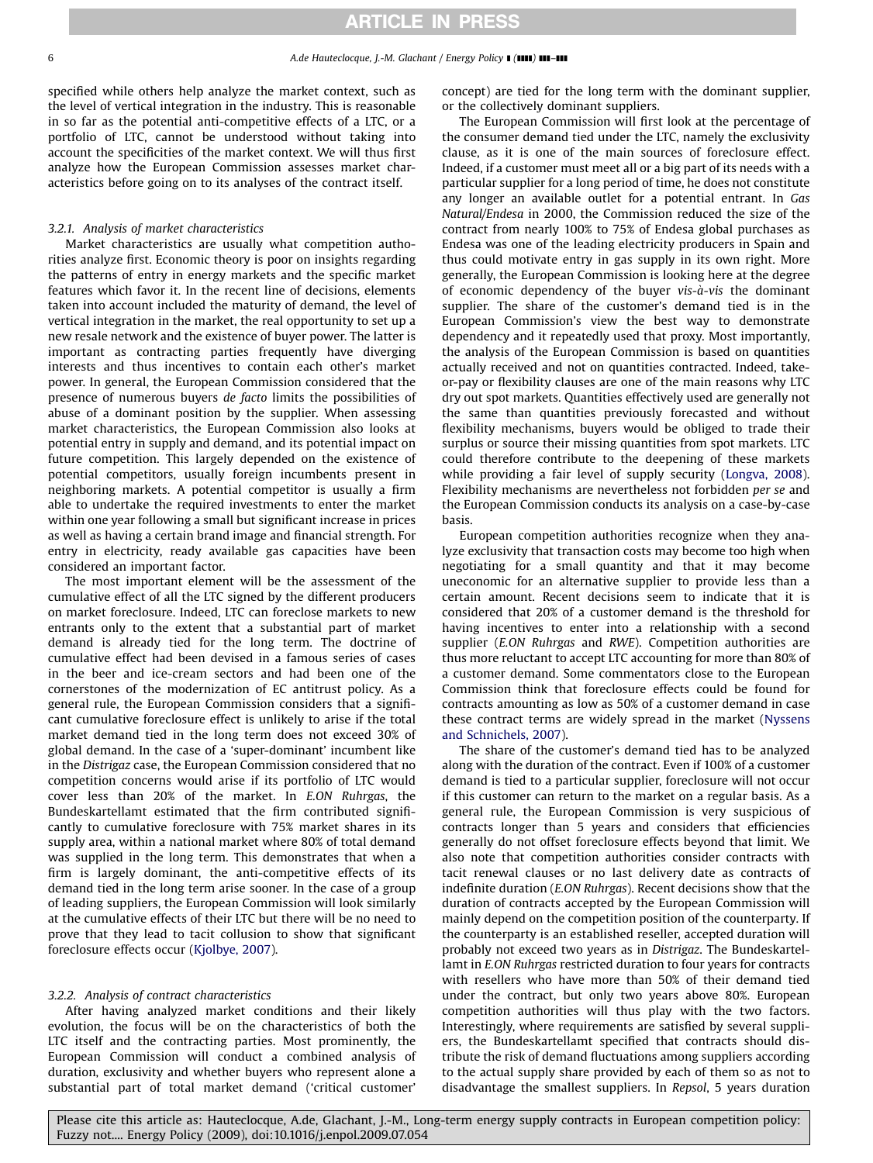specified while others help analyze the market context, such as the level of vertical integration in the industry. This is reasonable in so far as the potential anti-competitive effects of a LTC, or a portfolio of LTC, cannot be understood without taking into account the specificities of the market context. We will thus first analyze how the European Commission assesses market characteristics before going on to its analyses of the contract itself.

#### 3.2.1. Analysis of market characteristics

Market characteristics are usually what competition authorities analyze first. Economic theory is poor on insights regarding the patterns of entry in energy markets and the specific market features which favor it. In the recent line of decisions, elements taken into account included the maturity of demand, the level of vertical integration in the market, the real opportunity to set up a new resale network and the existence of buyer power. The latter is important as contracting parties frequently have diverging interests and thus incentives to contain each other's market power. In general, the European Commission considered that the presence of numerous buyers de facto limits the possibilities of abuse of a dominant position by the supplier. When assessing market characteristics, the European Commission also looks at potential entry in supply and demand, and its potential impact on future competition. This largely depended on the existence of potential competitors, usually foreign incumbents present in neighboring markets. A potential competitor is usually a firm able to undertake the required investments to enter the market within one year following a small but significant increase in prices as well as having a certain brand image and financial strength. For entry in electricity, ready available gas capacities have been considered an important factor.

The most important element will be the assessment of the cumulative effect of all the LTC signed by the different producers on market foreclosure. Indeed, LTC can foreclose markets to new entrants only to the extent that a substantial part of market demand is already tied for the long term. The doctrine of cumulative effect had been devised in a famous series of cases in the beer and ice-cream sectors and had been one of the cornerstones of the modernization of EC antitrust policy. As a general rule, the European Commission considers that a significant cumulative foreclosure effect is unlikely to arise if the total market demand tied in the long term does not exceed 30% of global demand. In the case of a 'super-dominant' incumbent like in the Distrigaz case, the European Commission considered that no competition concerns would arise if its portfolio of LTC would cover less than 20% of the market. In E.ON Ruhrgas, the Bundeskartellamt estimated that the firm contributed significantly to cumulative foreclosure with 75% market shares in its supply area, within a national market where 80% of total demand was supplied in the long term. This demonstrates that when a firm is largely dominant, the anti-competitive effects of its demand tied in the long term arise sooner. In the case of a group of leading suppliers, the European Commission will look similarly at the cumulative effects of their LTC but there will be no need to prove that they lead to tacit collusion to show that significant foreclosure effects occur [\(Kjolbye, 2007\)](#page-8-0).

#### 3.2.2. Analysis of contract characteristics

After having analyzed market conditions and their likely evolution, the focus will be on the characteristics of both the LTC itself and the contracting parties. Most prominently, the European Commission will conduct a combined analysis of duration, exclusivity and whether buyers who represent alone a substantial part of total market demand ('critical customer'

concept) are tied for the long term with the dominant supplier, or the collectively dominant suppliers.

The European Commission will first look at the percentage of the consumer demand tied under the LTC, namely the exclusivity clause, as it is one of the main sources of foreclosure effect. Indeed, if a customer must meet all or a big part of its needs with a particular supplier for a long period of time, he does not constitute any longer an available outlet for a potential entrant. In Gas Natural/Endesa in 2000, the Commission reduced the size of the contract from nearly 100% to 75% of Endesa global purchases as Endesa was one of the leading electricity producers in Spain and thus could motivate entry in gas supply in its own right. More generally, the European Commission is looking here at the degree of economic dependency of the buyer  $vis-\hat{a}-vis$  the dominant supplier. The share of the customer's demand tied is in the European Commission's view the best way to demonstrate dependency and it repeatedly used that proxy. Most importantly, the analysis of the European Commission is based on quantities actually received and not on quantities contracted. Indeed, takeor-pay or flexibility clauses are one of the main reasons why LTC dry out spot markets. Quantities effectively used are generally not the same than quantities previously forecasted and without flexibility mechanisms, buyers would be obliged to trade their surplus or source their missing quantities from spot markets. LTC could therefore contribute to the deepening of these markets while providing a fair level of supply security [\(Longva, 2008\)](#page-8-0). Flexibility mechanisms are nevertheless not forbidden per se and the European Commission conducts its analysis on a case-by-case basis.

European competition authorities recognize when they analyze exclusivity that transaction costs may become too high when negotiating for a small quantity and that it may become uneconomic for an alternative supplier to provide less than a certain amount. Recent decisions seem to indicate that it is considered that 20% of a customer demand is the threshold for having incentives to enter into a relationship with a second supplier (E.ON Ruhrgas and RWE). Competition authorities are thus more reluctant to accept LTC accounting for more than 80% of a customer demand. Some commentators close to the European Commission think that foreclosure effects could be found for contracts amounting as low as 50% of a customer demand in case these contract terms are widely spread in the market ([Nyssens](#page-8-0) [and Schnichels, 2007\)](#page-8-0).

The share of the customer's demand tied has to be analyzed along with the duration of the contract. Even if 100% of a customer demand is tied to a particular supplier, foreclosure will not occur if this customer can return to the market on a regular basis. As a general rule, the European Commission is very suspicious of contracts longer than 5 years and considers that efficiencies generally do not offset foreclosure effects beyond that limit. We also note that competition authorities consider contracts with tacit renewal clauses or no last delivery date as contracts of indefinite duration (E.ON Ruhrgas). Recent decisions show that the duration of contracts accepted by the European Commission will mainly depend on the competition position of the counterparty. If the counterparty is an established reseller, accepted duration will probably not exceed two years as in Distrigaz. The Bundeskartellamt in E.ON Ruhrgas restricted duration to four years for contracts with resellers who have more than 50% of their demand tied under the contract, but only two years above 80%. European competition authorities will thus play with the two factors. Interestingly, where requirements are satisfied by several suppliers, the Bundeskartellamt specified that contracts should distribute the risk of demand fluctuations among suppliers according to the actual supply share provided by each of them so as not to disadvantage the smallest suppliers. In Repsol, 5 years duration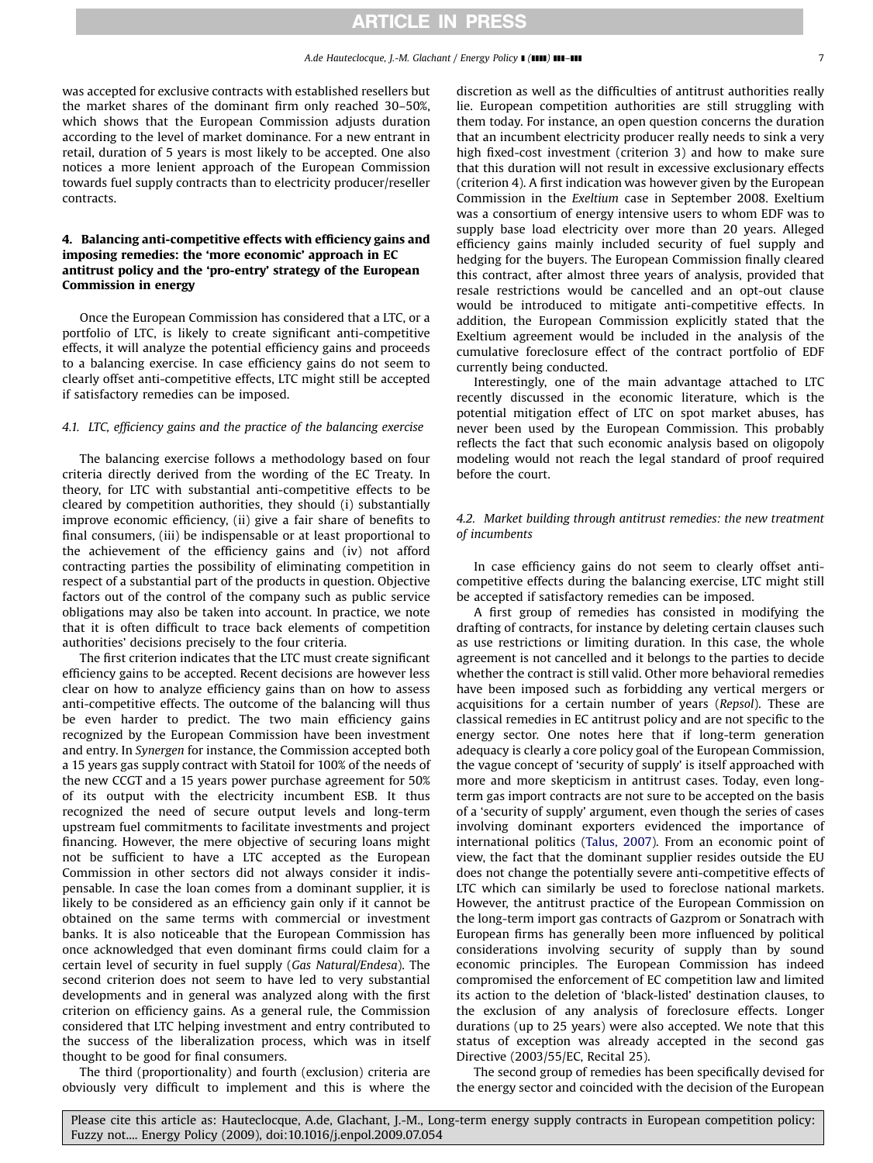was accepted for exclusive contracts with established resellers but the market shares of the dominant firm only reached 30–50%, which shows that the European Commission adjusts duration according to the level of market dominance. For a new entrant in retail, duration of 5 years is most likely to be accepted. One also notices a more lenient approach of the European Commission towards fuel supply contracts than to electricity producer/reseller contracts.

#### 4. Balancing anti-competitive effects with efficiency gains and imposing remedies: the 'more economic' approach in EC antitrust policy and the 'pro-entry' strategy of the European Commission in energy

Once the European Commission has considered that a LTC, or a portfolio of LTC, is likely to create significant anti-competitive effects, it will analyze the potential efficiency gains and proceeds to a balancing exercise. In case efficiency gains do not seem to clearly offset anti-competitive effects, LTC might still be accepted if satisfactory remedies can be imposed.

### 4.1. LTC, efficiency gains and the practice of the balancing exercise

The balancing exercise follows a methodology based on four criteria directly derived from the wording of the EC Treaty. In theory, for LTC with substantial anti-competitive effects to be cleared by competition authorities, they should (i) substantially improve economic efficiency, (ii) give a fair share of benefits to final consumers, (iii) be indispensable or at least proportional to the achievement of the efficiency gains and (iv) not afford contracting parties the possibility of eliminating competition in respect of a substantial part of the products in question. Objective factors out of the control of the company such as public service obligations may also be taken into account. In practice, we note that it is often difficult to trace back elements of competition authorities' decisions precisely to the four criteria.

The first criterion indicates that the LTC must create significant efficiency gains to be accepted. Recent decisions are however less clear on how to analyze efficiency gains than on how to assess anti-competitive effects. The outcome of the balancing will thus be even harder to predict. The two main efficiency gains recognized by the European Commission have been investment and entry. In Synergen for instance, the Commission accepted both a 15 years gas supply contract with Statoil for 100% of the needs of the new CCGT and a 15 years power purchase agreement for 50% of its output with the electricity incumbent ESB. It thus recognized the need of secure output levels and long-term upstream fuel commitments to facilitate investments and project financing. However, the mere objective of securing loans might not be sufficient to have a LTC accepted as the European Commission in other sectors did not always consider it indispensable. In case the loan comes from a dominant supplier, it is likely to be considered as an efficiency gain only if it cannot be obtained on the same terms with commercial or investment banks. It is also noticeable that the European Commission has once acknowledged that even dominant firms could claim for a certain level of security in fuel supply (Gas Natural/Endesa). The second criterion does not seem to have led to very substantial developments and in general was analyzed along with the first criterion on efficiency gains. As a general rule, the Commission considered that LTC helping investment and entry contributed to the success of the liberalization process, which was in itself thought to be good for final consumers.

The third (proportionality) and fourth (exclusion) criteria are obviously very difficult to implement and this is where the discretion as well as the difficulties of antitrust authorities really lie. European competition authorities are still struggling with them today. For instance, an open question concerns the duration that an incumbent electricity producer really needs to sink a very high fixed-cost investment (criterion 3) and how to make sure that this duration will not result in excessive exclusionary effects (criterion 4). A first indication was however given by the European Commission in the Exeltium case in September 2008. Exeltium was a consortium of energy intensive users to whom EDF was to supply base load electricity over more than 20 years. Alleged efficiency gains mainly included security of fuel supply and hedging for the buyers. The European Commission finally cleared this contract, after almost three years of analysis, provided that resale restrictions would be cancelled and an opt-out clause would be introduced to mitigate anti-competitive effects. In addition, the European Commission explicitly stated that the Exeltium agreement would be included in the analysis of the cumulative foreclosure effect of the contract portfolio of EDF currently being conducted.

Interestingly, one of the main advantage attached to LTC recently discussed in the economic literature, which is the potential mitigation effect of LTC on spot market abuses, has never been used by the European Commission. This probably reflects the fact that such economic analysis based on oligopoly modeling would not reach the legal standard of proof required before the court.

#### 4.2. Market building through antitrust remedies: the new treatment of incumbents

In case efficiency gains do not seem to clearly offset anticompetitive effects during the balancing exercise, LTC might still be accepted if satisfactory remedies can be imposed.

A first group of remedies has consisted in modifying the drafting of contracts, for instance by deleting certain clauses such as use restrictions or limiting duration. In this case, the whole agreement is not cancelled and it belongs to the parties to decide whether the contract is still valid. Other more behavioral remedies have been imposed such as forbidding any vertical mergers or acquisitions for a certain number of years (Repsol). These are classical remedies in EC antitrust policy and are not specific to the energy sector. One notes here that if long-term generation adequacy is clearly a core policy goal of the European Commission, the vague concept of 'security of supply' is itself approached with more and more skepticism in antitrust cases. Today, even longterm gas import contracts are not sure to be accepted on the basis of a 'security of supply' argument, even though the series of cases involving dominant exporters evidenced the importance of international politics ([Talus, 2007\)](#page-8-0). From an economic point of view, the fact that the dominant supplier resides outside the EU does not change the potentially severe anti-competitive effects of LTC which can similarly be used to foreclose national markets. However, the antitrust practice of the European Commission on the long-term import gas contracts of Gazprom or Sonatrach with European firms has generally been more influenced by political considerations involving security of supply than by sound economic principles. The European Commission has indeed compromised the enforcement of EC competition law and limited its action to the deletion of 'black-listed' destination clauses, to the exclusion of any analysis of foreclosure effects. Longer durations (up to 25 years) were also accepted. We note that this status of exception was already accepted in the second gas Directive (2003/55/EC, Recital 25).

The second group of remedies has been specifically devised for the energy sector and coincided with the decision of the European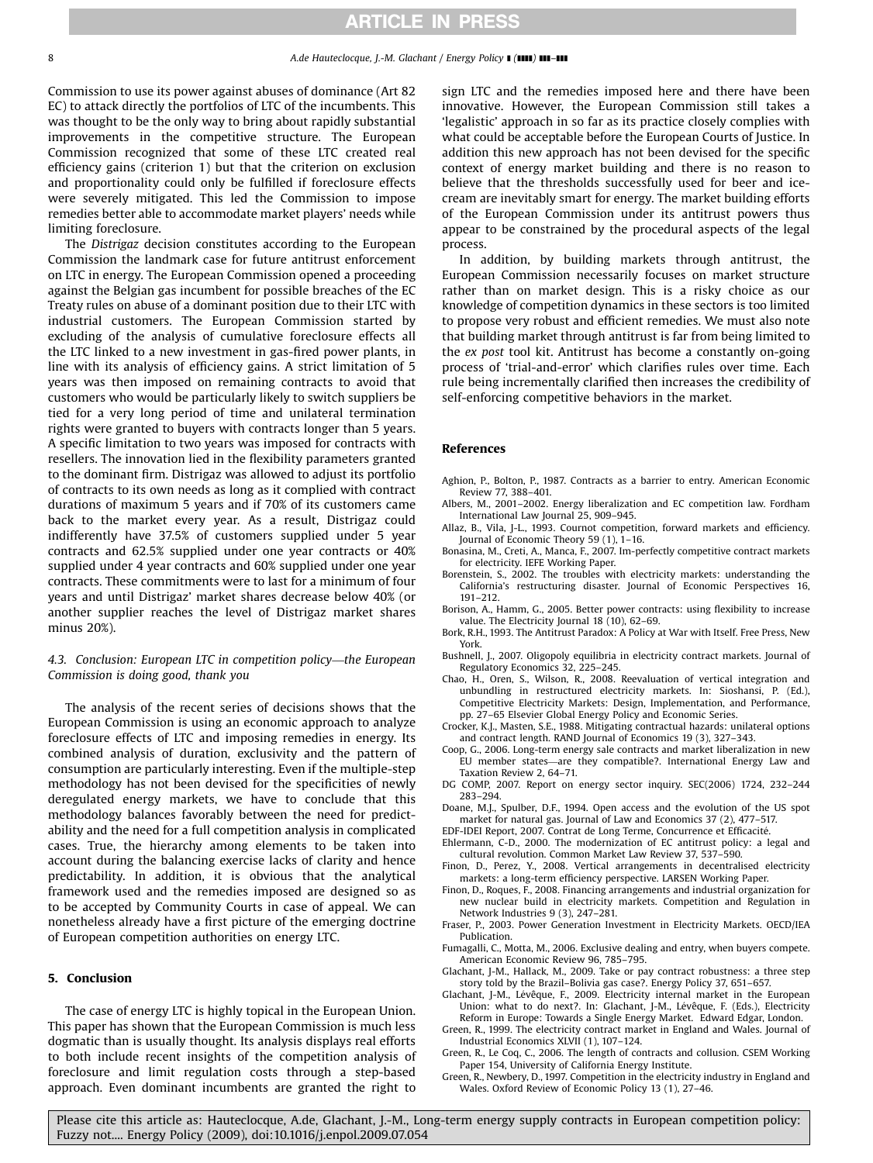<span id="page-7-0"></span>Commission to use its power against abuses of dominance (Art 82 EC) to attack directly the portfolios of LTC of the incumbents. This was thought to be the only way to bring about rapidly substantial improvements in the competitive structure. The European Commission recognized that some of these LTC created real efficiency gains (criterion 1) but that the criterion on exclusion and proportionality could only be fulfilled if foreclosure effects were severely mitigated. This led the Commission to impose remedies better able to accommodate market players' needs while limiting foreclosure.

The Distrigaz decision constitutes according to the European Commission the landmark case for future antitrust enforcement on LTC in energy. The European Commission opened a proceeding against the Belgian gas incumbent for possible breaches of the EC Treaty rules on abuse of a dominant position due to their LTC with industrial customers. The European Commission started by excluding of the analysis of cumulative foreclosure effects all the LTC linked to a new investment in gas-fired power plants, in line with its analysis of efficiency gains. A strict limitation of 5 years was then imposed on remaining contracts to avoid that customers who would be particularly likely to switch suppliers be tied for a very long period of time and unilateral termination rights were granted to buyers with contracts longer than 5 years. A specific limitation to two years was imposed for contracts with resellers. The innovation lied in the flexibility parameters granted to the dominant firm. Distrigaz was allowed to adjust its portfolio of contracts to its own needs as long as it complied with contract durations of maximum 5 years and if 70% of its customers came back to the market every year. As a result, Distrigaz could indifferently have 37.5% of customers supplied under 5 year contracts and 62.5% supplied under one year contracts or 40% supplied under 4 year contracts and 60% supplied under one year contracts. These commitments were to last for a minimum of four years and until Distrigaz' market shares decrease below 40% (or another supplier reaches the level of Distrigaz market shares minus 20%).

#### 4.3. Conclusion: European LTC in competition policy—the European Commission is doing good, thank you

The analysis of the recent series of decisions shows that the European Commission is using an economic approach to analyze foreclosure effects of LTC and imposing remedies in energy. Its combined analysis of duration, exclusivity and the pattern of consumption are particularly interesting. Even if the multiple-step methodology has not been devised for the specificities of newly deregulated energy markets, we have to conclude that this methodology balances favorably between the need for predictability and the need for a full competition analysis in complicated cases. True, the hierarchy among elements to be taken into account during the balancing exercise lacks of clarity and hence predictability. In addition, it is obvious that the analytical framework used and the remedies imposed are designed so as to be accepted by Community Courts in case of appeal. We can nonetheless already have a first picture of the emerging doctrine of European competition authorities on energy LTC.

#### 5. Conclusion

The case of energy LTC is highly topical in the European Union. This paper has shown that the European Commission is much less dogmatic than is usually thought. Its analysis displays real efforts to both include recent insights of the competition analysis of foreclosure and limit regulation costs through a step-based approach. Even dominant incumbents are granted the right to sign LTC and the remedies imposed here and there have been innovative. However, the European Commission still takes a 'legalistic' approach in so far as its practice closely complies with what could be acceptable before the European Courts of Justice. In addition this new approach has not been devised for the specific context of energy market building and there is no reason to believe that the thresholds successfully used for beer and icecream are inevitably smart for energy. The market building efforts of the European Commission under its antitrust powers thus appear to be constrained by the procedural aspects of the legal process.

In addition, by building markets through antitrust, the European Commission necessarily focuses on market structure rather than on market design. This is a risky choice as our knowledge of competition dynamics in these sectors is too limited to propose very robust and efficient remedies. We must also note that building market through antitrust is far from being limited to the ex post tool kit. Antitrust has become a constantly on-going process of 'trial-and-error' which clarifies rules over time. Each rule being incrementally clarified then increases the credibility of self-enforcing competitive behaviors in the market.

#### References

- Aghion, P., Bolton, P., 1987. Contracts as a barrier to entry. American Economic Review 77, 388–401.
- Albers, M., 2001–2002. Energy liberalization and EC competition law. Fordham International Law Journal 25, 909–945.
- Allaz, B., Vila, J-L., 1993. Cournot competition, forward markets and efficiency. Journal of Economic Theory 59 (1), 1–16.
- Bonasina, M., Creti, A., Manca, F., 2007. Im-perfectly competitive contract markets for electricity. IEFE Working Paper.
- Borenstein, S., 2002. The troubles with electricity markets: understanding the California's restructuring disaster. Journal of Economic Perspectives 16, 191–212.
- Borison, A., Hamm, G., 2005. Better power contracts: using flexibility to increase value. The Electricity Journal 18 (10), 62–69.
- Bork, R.H., 1993. The Antitrust Paradox: A Policy at War with Itself. Free Press, New York.
- Bushnell, J., 2007. Oligopoly equilibria in electricity contract markets. Journal of Regulatory Economics 32, 225–245.
- Chao, H., Oren, S., Wilson, R., 2008. Reevaluation of vertical integration and unbundling in restructured electricity markets. In: Sioshansi, P. (Ed.), Competitive Electricity Markets: Design, Implementation, and Performance, pp. 27–65 Elsevier Global Energy Policy and Economic Series.
- Crocker, K.J., Masten, S.E., 1988. Mitigating contractual hazards: unilateral options and contract length. RAND Journal of Economics 19 (3), 327–343.
- Coop, G., 2006. Long-term energy sale contracts and market liberalization in new EU member states—are they compatible?. International Energy Law and Taxation Review 2, 64–71.
- DG COMP, 2007. Report on energy sector inquiry. SEC(2006) 1724, 232–244 283–294.
- Doane, M.J., Spulber, D.F., 1994. Open access and the evolution of the US spot market for natural gas. Journal of Law and Economics 37 (2), 477–517.
- EDF-IDEI Report, 2007. Contrat de Long Terme, Concurrence et Efficacité.
- Ehlermann, C-D., 2000. The modernization of EC antitrust policy: a legal and cultural revolution. Common Market Law Review 37, 537–590.
- Finon, D., Perez, Y., 2008. Vertical arrangements in decentralised electricity markets: a long-term efficiency perspective. LARSEN Working Paper.
- Finon, D., Roques, F., 2008. Financing arrangements and industrial organization for new nuclear build in electricity markets. Competition and Regulation in Network Industries 9 (3), 247–281.
- Fraser, P., 2003. Power Generation Investment in Electricity Markets. OECD/IEA Publication.
- Fumagalli, C., Motta, M., 2006. Exclusive dealing and entry, when buyers compete. American Economic Review 96, 785–795.
- Glachant, J-M., Hallack, M., 2009. Take or pay contract robustness: a three step story told by the Brazil–Bolivia gas case?. Energy Policy 37, 651–657.
- Glachant, J-M., Lévêque, F., 2009. Electricity internal market in the European Union: what to do next?. In: Glachant, J-M., Lévêque, F. (Eds.), Electricity Reform in Europe: Towards a Single Energy Market. Edward Edgar, London.
- Green, R., 1999. The electricity contract market in England and Wales. Journal of Industrial Economics XLVII (1), 107–124.
- Green, R., Le Coq, C., 2006. The length of contracts and collusion. CSEM Working Paper 154, University of California Energy Institute.
- Green, R., Newbery, D., 1997. Competition in the electricity industry in England and Wales. Oxford Review of Economic Policy 13 (1), 27–46.